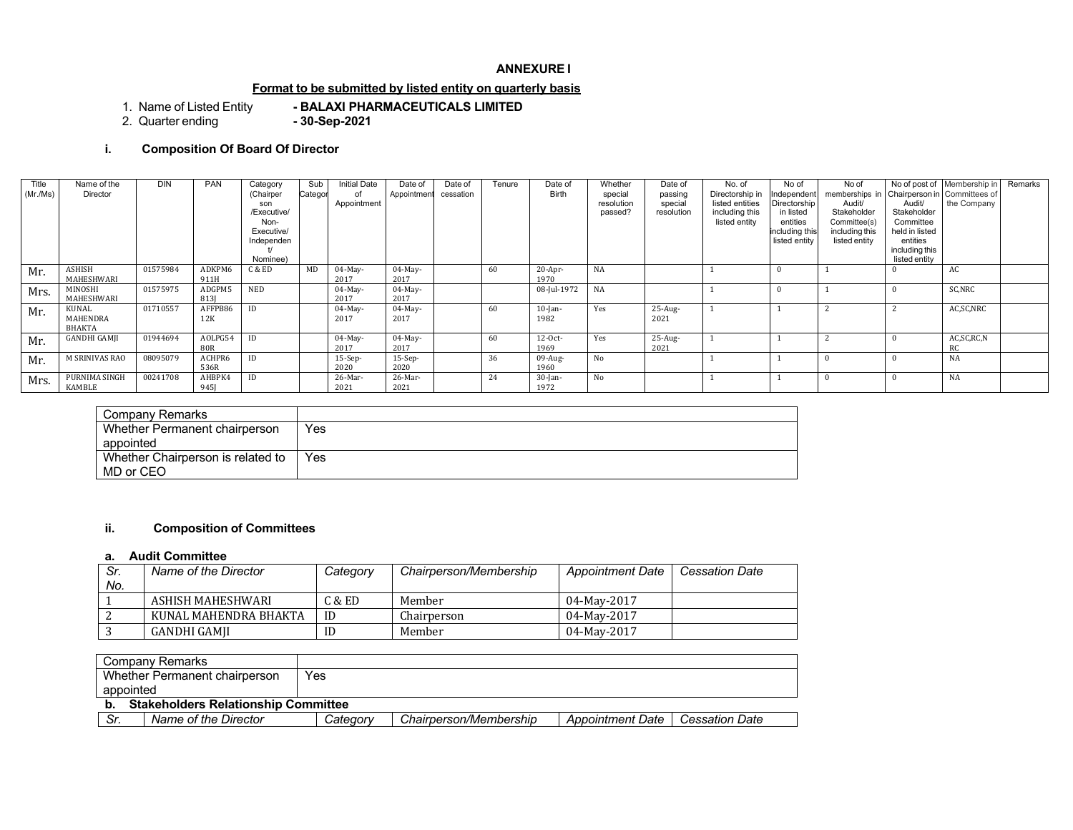### **ANNEXURE I**

### **Format to be submitted by listed entity on quarterly basis**

1. Name of Listed Entity **- BALAXI PHARMACEUTICALS LIMITED** 2. Quarter ending

## **i. Composition Of Board Of Director**

| Title<br>(Mr./Ms) | Name of the<br>Director     | <b>DIN</b> | PAN                   | Category<br>(Chairper<br>son<br>/Executive/<br>Non-<br>Executive/<br>Independen<br>Nominee) | Sub<br>Categor | <b>Initial Date</b><br>of<br>Appointment | Date of<br>Appointment | Date of<br>cessation | Tenure | Date of<br>Birth   | Whether<br>special<br>resolution<br>passed? | Date of<br>passing<br>special<br>resolution | No. of<br>Directorship in<br>listed entities<br>including this<br>listed entity | No of<br>Independent<br>Directorship<br>in listed<br>entities<br>including this<br>listed entity | No of<br>memberships in Chairperson in Committees of<br>Audit/<br>Stakeholder<br>Committee(s)<br>including this<br>listed entity | Audit/<br>Stakeholder<br>Committee<br>held in listed<br>entities<br>including this<br>listed entity | No of post of Membership in<br>the Company | Remarks |
|-------------------|-----------------------------|------------|-----------------------|---------------------------------------------------------------------------------------------|----------------|------------------------------------------|------------------------|----------------------|--------|--------------------|---------------------------------------------|---------------------------------------------|---------------------------------------------------------------------------------|--------------------------------------------------------------------------------------------------|----------------------------------------------------------------------------------------------------------------------------------|-----------------------------------------------------------------------------------------------------|--------------------------------------------|---------|
| Mr.               | ASHISH<br>MAHESHWARI        | 01575984   | ADKPM6<br>911H        | C & ED                                                                                      | MD             | $04$ -May-<br>2017                       | $04$ -May-<br>2017     |                      | 60     | 20-Apr-<br>1970    | <b>NA</b>                                   |                                             |                                                                                 |                                                                                                  |                                                                                                                                  |                                                                                                     | AC                                         |         |
| Mrs.              | MINOSHI<br>MAHESHWARI       | 01575975   | ADGPM5<br>813         | <b>NED</b>                                                                                  |                | $04$ -May-<br>2017                       | $04$ -May-<br>2017     |                      |        | 08-Jul-1972        | NA                                          |                                             |                                                                                 |                                                                                                  |                                                                                                                                  |                                                                                                     | SC,NRC                                     |         |
| Mr.               | KUNAL<br>MAHENDRA<br>BHAKTA | 01710557   | AFFPB86<br>12K        | ID                                                                                          |                | $04$ -May-<br>2017                       | $04$ -May-<br>2017     |                      | 60     | $10$ -Jan-<br>1982 | Yes                                         | $25-Aug-$<br>2021                           |                                                                                 |                                                                                                  |                                                                                                                                  |                                                                                                     | AC,SC,NRC                                  |         |
| Mr.               | <b>GANDHI GAMJI</b>         | 01944694   | AOLPG54<br><b>80R</b> | ID                                                                                          |                | $04$ -May-<br>2017                       | $04$ -May-<br>2017     |                      | 60     | $12-0ct-$<br>1969  | Yes                                         | $25$ -Aug-<br>2021                          |                                                                                 |                                                                                                  |                                                                                                                                  |                                                                                                     | AC, SC, RC, N<br>RC                        |         |
| Mr.               | M SRINIVAS RAO              | 08095079   | ACHPR6<br>536R        | ID                                                                                          |                | $15-Sep-$<br>2020                        | $15-Sep-$<br>2020      |                      | 36     | 09-Aug-<br>1960    | No                                          |                                             |                                                                                 |                                                                                                  |                                                                                                                                  |                                                                                                     | NA                                         |         |
| Mrs.              | PURNIMA SINGH<br>KAMBLE     | 00241708   | AHBPK4<br>9451        | ID                                                                                          |                | 26-Mar-<br>2021                          | 26-Mar-<br>2021        |                      | 24     | $30$ -Jan-<br>1972 | No                                          |                                             |                                                                                 |                                                                                                  |                                                                                                                                  |                                                                                                     | <b>NA</b>                                  |         |

| Company Remarks                                |     |
|------------------------------------------------|-----|
| Whether Permanent chairperson<br>appointed     | Yes |
| Whether Chairperson is related to<br>MD or CEO | Yes |

## **ii. Composition of Committees**

### **a. Audit Committee**

| Sr. | Name of the Director  | Category | Chairperson/Membership | Appointment Date | <b>Cessation Date</b> |
|-----|-----------------------|----------|------------------------|------------------|-----------------------|
| No. |                       |          |                        |                  |                       |
|     | ASHISH MAHESHWARI     | C & E D  | Member                 | 04-May-2017      |                       |
|     | KUNAL MAHENDRA BHAKTA | ID       | Chairperson            | 04-May-2017      |                       |
|     | GANDHI GAMII          | ID       | Member                 | 04-May-2017      |                       |

| Company Remarks                            |          |                        |                         |                |
|--------------------------------------------|----------|------------------------|-------------------------|----------------|
| Whether Permanent chairperson              | Yes      |                        |                         |                |
| appointed                                  |          |                        |                         |                |
| <b>Stakeholders Relationship Committee</b> |          |                        |                         |                |
| Sr.<br>Name of the Director                | Category | Chairperson/Membership | <b>Appointment Date</b> | Cessation Date |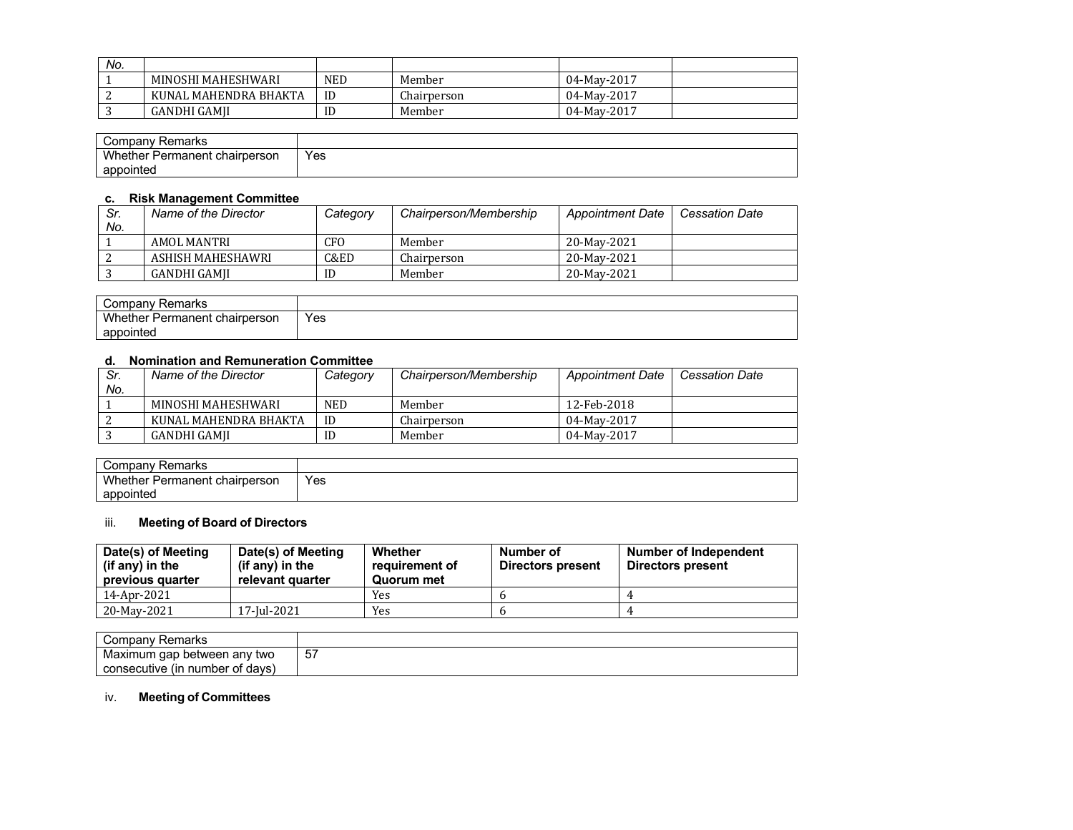| No. |                       |            |             |             |  |
|-----|-----------------------|------------|-------------|-------------|--|
|     | MINOSHI MAHESHWARI    | <b>NED</b> | Member      | 04-May-2017 |  |
|     | KUNAL MAHENDRA BHAKTA | ID         | Chairperson | 04-May-2017 |  |
|     | GANDHI GAMII          | ID         | Member      | 04-May-2017 |  |

| Company<br>Remarks                            |            |
|-----------------------------------------------|------------|
| Wh.<br>t chairperson<br>hether<br>∵ Permanent | Yes<br>___ |
| appointed                                     |            |

#### **c. Risk Management Committee**

| Sr.<br>No. | Name of the Director | Category | Chairperson/Membership | <b>Appointment Date</b> | <b>Cessation Date</b> |
|------------|----------------------|----------|------------------------|-------------------------|-----------------------|
|            |                      |          |                        |                         |                       |
|            | AMOL MANTRI          | CFO      | Member                 | 20-May-2021             |                       |
|            | ASHISH MAHESHAWRI    | C&ED     | Chairperson            | 20-May-2021             |                       |
|            | GANDHI GAMII         | ID       | Member                 | 20-May-2021             |                       |

| Remarks<br>Company                                                         |             |
|----------------------------------------------------------------------------|-------------|
| $\cdots$<br>: chairperson<br>whether <b>with</b><br><sup>.</sup> Permanent | Yes<br>$ -$ |
| appointed                                                                  |             |

# **d. Nomination and Remuneration Committee**

| Sr. | Name of the Director  | Category   | Chairperson/Membership | <b>Appointment Date</b> | <b>Cessation Date</b> |
|-----|-----------------------|------------|------------------------|-------------------------|-----------------------|
| No. |                       |            |                        |                         |                       |
|     | MINOSHI MAHESHWARI    | <b>NED</b> | Member                 | 12-Feb-2018             |                       |
|     | KUNAL MAHENDRA BHAKTA | ID         | Chairperson            | 04-May-2017             |                       |
|     | GANDHI GAMII          | ID         | Member                 | 04-May-2017             |                       |

| ∽<br>Remarks<br>' Company ب         |     |
|-------------------------------------|-----|
| Whether,<br>r Permanent chairperson | Yes |
| appointed                           |     |

## iii. **Meeting of Board of Directors**

| Date(s) of Meeting<br>(if any) in the<br>previous quarter | Date(s) of Meeting<br>(if any) in the<br>relevant quarter | Whether<br>requirement of<br>Quorum met | Number of<br>Directors present | Number of Independent<br>Directors present |
|-----------------------------------------------------------|-----------------------------------------------------------|-----------------------------------------|--------------------------------|--------------------------------------------|
| 14-Apr-2021                                               |                                                           | Yes                                     |                                |                                            |
| 20-May-2021                                               | 17-Jul-2021                                               | Yes                                     |                                |                                            |

| `ompanv<br>≺emarks                        |                  |
|-------------------------------------------|------------------|
| two<br>Maximum<br>gap<br>anv<br>between ( | $-$<br>h<br>ັ∪ / |
| of davs<br>consecutive (in<br>number      |                  |

# iv. **Meeting of Committees**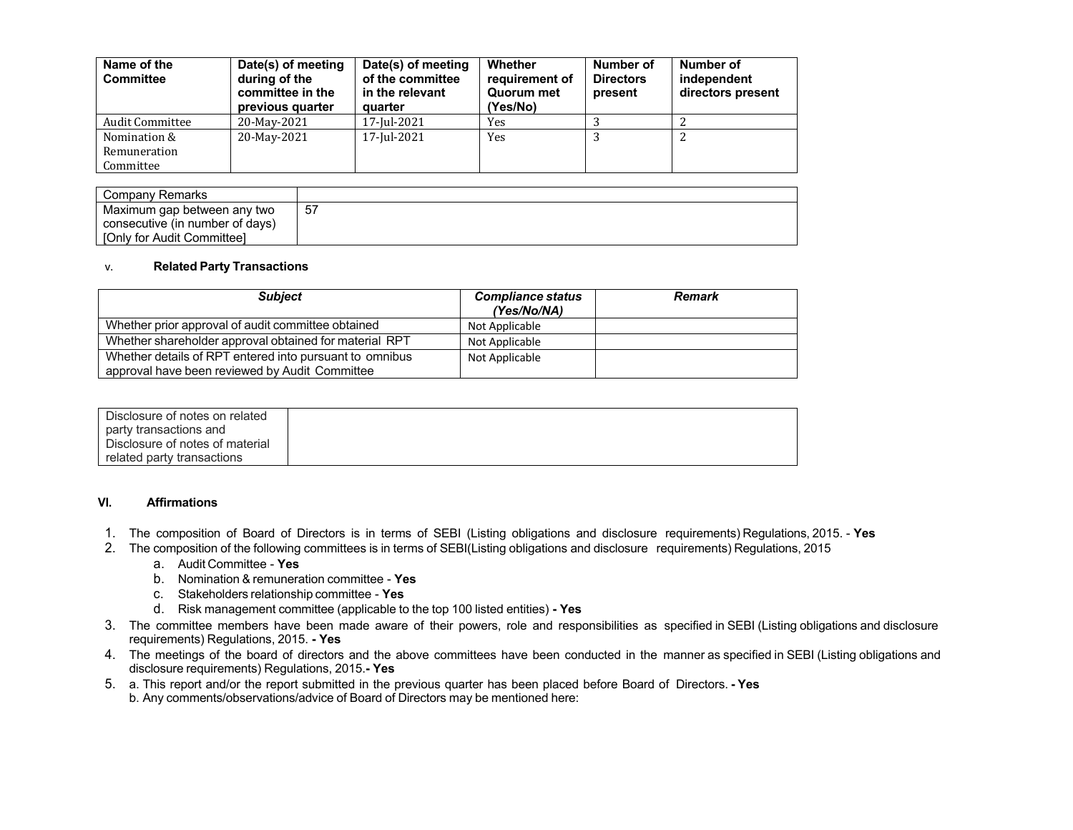| Name of the<br><b>Committee</b>           | Date(s) of meeting<br>during of the<br>committee in the<br>previous quarter | Date(s) of meeting<br>of the committee<br>in the relevant<br>quarter | <b>Whether</b><br>requirement of<br>Quorum met<br>(Yes/No) | Number of<br><b>Directors</b><br>present | Number of<br>independent<br>directors present |
|-------------------------------------------|-----------------------------------------------------------------------------|----------------------------------------------------------------------|------------------------------------------------------------|------------------------------------------|-----------------------------------------------|
| <b>Audit Committee</b>                    | 20-May-2021                                                                 | 17-Jul-2021                                                          | Yes                                                        |                                          |                                               |
| Nomination &<br>Remuneration<br>Committee | 20-May-2021                                                                 | 17-Jul-2021                                                          | Yes                                                        |                                          | 2                                             |

| Company Remarks                 |    |
|---------------------------------|----|
| Maximum gap between any two     | 51 |
| consecutive (in number of days) |    |
| [Only for Audit Committee]      |    |

#### v. **Related Party Transactions**

| <b>Subject</b>                                          | <b>Compliance status</b><br>(Yes/No/NA) | <b>Remark</b> |
|---------------------------------------------------------|-----------------------------------------|---------------|
| Whether prior approval of audit committee obtained      | Not Applicable                          |               |
| Whether shareholder approval obtained for material RPT  | Not Applicable                          |               |
| Whether details of RPT entered into pursuant to omnibus | Not Applicable                          |               |
| approval have been reviewed by Audit Committee          |                                         |               |

| Disclosure of notes on related  |  |
|---------------------------------|--|
| party transactions and          |  |
| Disclosure of notes of material |  |
| related party transactions      |  |

#### **VI. Affirmations**

- 1. The composition of Board of Directors is in terms of SEBI (Listing obligations and disclosure requirements) Regulations, 2015. **Yes**
- 2. The composition of the following committees is in terms of SEBI(Listing obligations and disclosure requirements) Regulations, 2015
	- a. Audit Committee **Yes**
	- b. Nomination & remuneration committee **Yes**
	- c. Stakeholders relationship committee **Yes**
	- d. Risk management committee (applicable to the top 100 listed entities) **- Yes**
- 3. The committee members have been made aware of their powers, role and responsibilities as specified in SEBI (Listing obligations and disclosure requirements) Regulations, 2015. **- Yes**
- 4. The meetings of the board of directors and the above committees have been conducted in the manner as specified in SEBI (Listing obligations and disclosure requirements) Regulations, 2015.**- Yes**
- 5. a. This report and/or the report submitted in the previous quarter has been placed before Board of Directors. **- Yes** b. Any comments/observations/advice of Board of Directors may be mentioned here: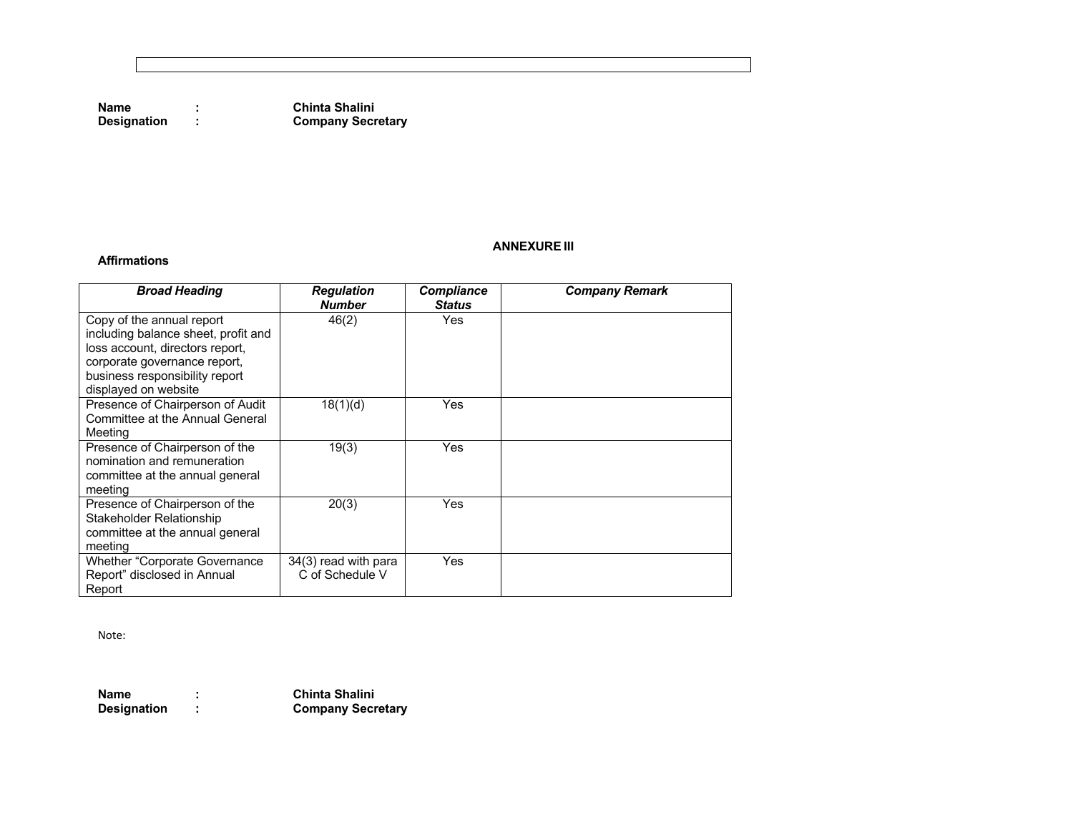**Name : Chinta Shalini Company Secretary** 

### **ANNEXURE III**

**Affirmations**

| <b>Broad Heading</b>                                                                                                                                                                          | <b>Regulation</b><br><b>Number</b>      | <b>Compliance</b><br><b>Status</b> | <b>Company Remark</b> |
|-----------------------------------------------------------------------------------------------------------------------------------------------------------------------------------------------|-----------------------------------------|------------------------------------|-----------------------|
| Copy of the annual report<br>including balance sheet, profit and<br>loss account, directors report,<br>corporate governance report,<br>business responsibility report<br>displayed on website | 46(2)                                   | <b>Yes</b>                         |                       |
| Presence of Chairperson of Audit<br>Committee at the Annual General<br>Meeting                                                                                                                | 18(1)(d)                                | Yes                                |                       |
| Presence of Chairperson of the<br>nomination and remuneration<br>committee at the annual general<br>meeting                                                                                   | 19(3)                                   | Yes                                |                       |
| Presence of Chairperson of the<br>Stakeholder Relationship<br>committee at the annual general<br>meeting                                                                                      | 20(3)                                   | Yes                                |                       |
| <b>Whether "Corporate Governance"</b><br>Report" disclosed in Annual<br>Report                                                                                                                | 34(3) read with para<br>C of Schedule V | Yes                                |                       |

Note:

**Name : Chinta Shalini Designation : Company Secretary**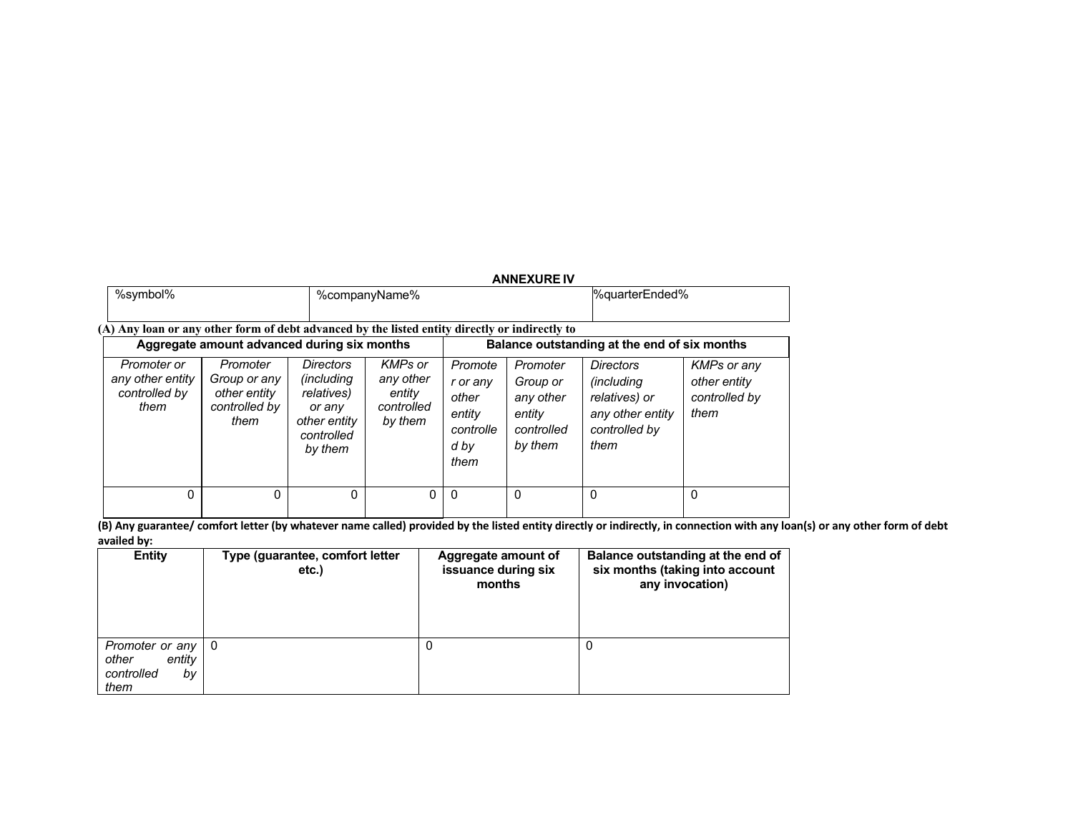|                                                                                                                                                                                                                                                                                         |               |                                                                |                                                                                                                                                     |          | <b>ANNEXURE IV</b>                                                                           |                                                      |          |
|-----------------------------------------------------------------------------------------------------------------------------------------------------------------------------------------------------------------------------------------------------------------------------------------|---------------|----------------------------------------------------------------|-----------------------------------------------------------------------------------------------------------------------------------------------------|----------|----------------------------------------------------------------------------------------------|------------------------------------------------------|----------|
| %symbol%                                                                                                                                                                                                                                                                                | %companyName% |                                                                |                                                                                                                                                     |          |                                                                                              | %quarterEnded%                                       |          |
| (A) Any loan or any other form of debt advanced by the listed entity directly or indirectly to<br>Balance outstanding at the end of six months                                                                                                                                          |               |                                                                |                                                                                                                                                     |          |                                                                                              |                                                      |          |
| Aggregate amount advanced during six months<br>Promoter<br><i>Directors</i><br>Promoter or<br>any other entity<br><i>(including)</i><br>Group or any<br>controlled by<br>relatives)<br>other entity<br>controlled by<br>them<br>or any<br>them<br>other entity<br>controlled<br>by them |               | <b>KMPs</b> or<br>any other<br>entity<br>controlled<br>by them | Promoter<br>Promote<br>Group or<br>r or any<br>other<br>any other<br>entity<br>entity<br>controlle<br>controlled<br>by them<br>them<br>d by<br>them |          | <b>Directors</b><br><i>(including)</i><br>relatives) or<br>any other entity<br>controlled by | KMPs or any<br>other entity<br>controlled by<br>them |          |
| 0                                                                                                                                                                                                                                                                                       | 0             | $\Omega$                                                       | 0                                                                                                                                                   | $\Omega$ | $\Omega$                                                                                     | $\Omega$                                             | $\Omega$ |

**(B) Any guarantee/ comfort letter (by whatever name called) provided by the listed entity directly or indirectly, in connection with any loan(s) or any other form of debt availed by:**

| <b>Entity</b>                                                      | Type (guarantee, comfort letter<br>etc. | Aggregate amount of<br>issuance during six<br>months | Balance outstanding at the end of<br>six months (taking into account<br>any invocation) |
|--------------------------------------------------------------------|-----------------------------------------|------------------------------------------------------|-----------------------------------------------------------------------------------------|
| Promoter or any   0<br>entity<br>other<br>controlled<br>by<br>them |                                         |                                                      | 0                                                                                       |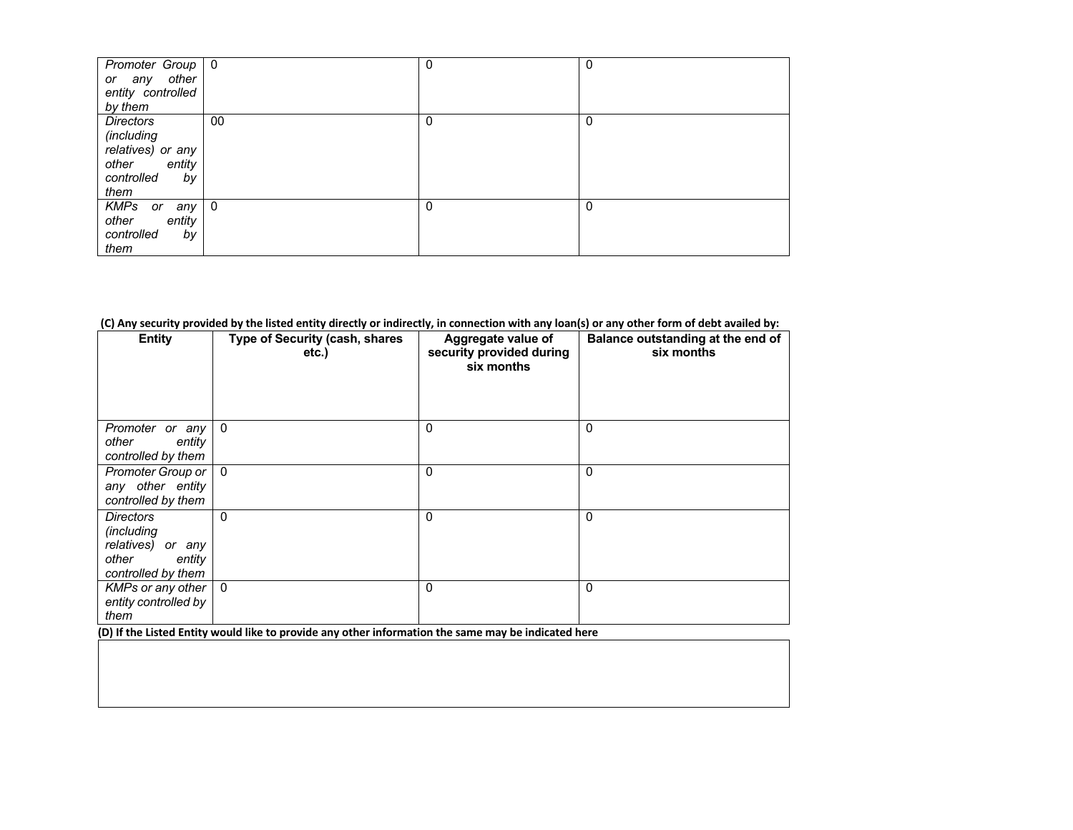| Promoter Group   0<br>or any other<br>entity controlled<br>by them                          |                | 0 | 0 |
|---------------------------------------------------------------------------------------------|----------------|---|---|
| Directors<br>(including<br>relatives) or any<br>other<br>entity<br>controlled<br>by<br>them | 00             | 0 | 0 |
| <b>KMPs</b><br>any<br>or<br>entity<br>other<br>controlled<br>by<br>them                     | $\overline{0}$ | 0 | 0 |

#### **(C) Any security provided by the listed entity directly or indirectly, in connection with any loan(s) or any other form of debt availed by:**

| <b>Entity</b>                                                                                       | Type of Security (cash, shares<br>etc.) | Aggregate value of<br>security provided during<br>six months | Balance outstanding at the end of<br>six months |
|-----------------------------------------------------------------------------------------------------|-----------------------------------------|--------------------------------------------------------------|-------------------------------------------------|
| Promoter or any<br>other<br>entity<br>controlled by them                                            | $\mathbf{0}$                            | 0                                                            | 0                                               |
| Promoter Group or<br>any other entity<br>controlled by them                                         | $\Omega$                                | 0                                                            | 0                                               |
| <b>Directors</b><br><i>(including</i><br>relatives) or any<br>other<br>entity<br>controlled by them | 0                                       | 0                                                            | 0                                               |
| KMPs or any other<br>entity controlled by<br>them                                                   | $\Omega$                                | 0                                                            | 0                                               |

**(D) If the Listed Entity would like to provide any other information the same may be indicated here**